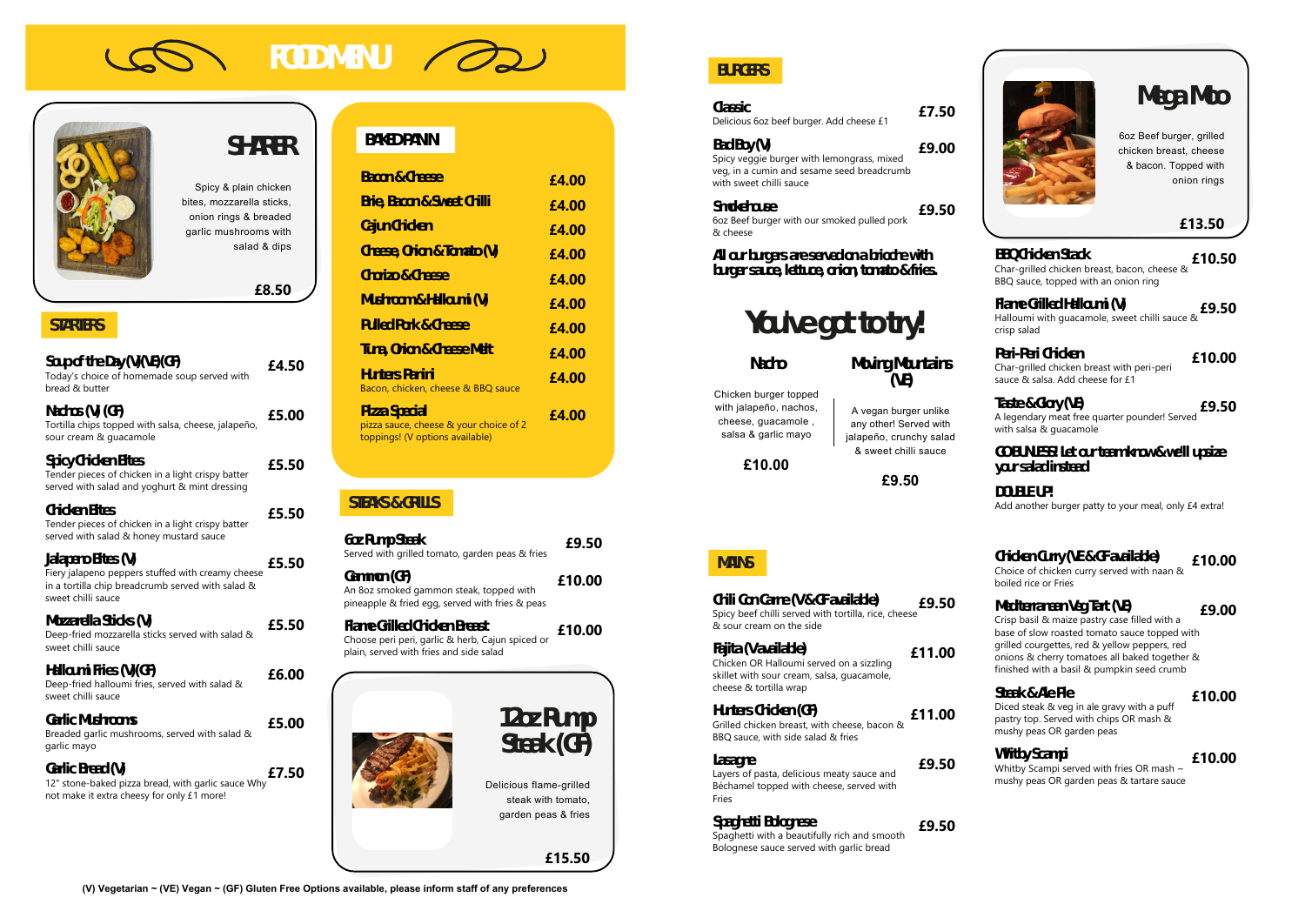# **FOOD MENU**



## **SHARER**

Spicy & plain chicken bites, mozzarella sticks, onion rings & breaded garlic mushrooms with salad & dips

## **£8.50**

## **STARTERS**

| $\text{Sup of the Day}(\mathcal{V})(\mathcal{F})(\mathcal{F})$<br>Today's choice of homemade soup served with<br>bread & butter                    | £4.50 |
|----------------------------------------------------------------------------------------------------------------------------------------------------|-------|
| Nachos (V) (GF)<br>Tortilla chips topped with salsa, cheese, jalapeño,<br>sour cream & quacamole                                                   | £5.00 |
| Spicy Chicken Bites<br>Tender pieces of chicken in a light crispy batter<br>served with salad and yoghurt & mint dressing                          | £5.50 |
| Chicken Bites<br>Tender pieces of chicken in a light crispy batter<br>served with salad & honey mustard sauce                                      | £5.50 |
| Jalapeno Bites (V)<br>Fiery jalapeno peppers stuffed with creamy cheese<br>in a tortilla chip breadcrumb served with salad &<br>sweet chilli sauce | £5.50 |
| Mazarella Sticks (V)<br>Deep-fried mozzarella sticks served with salad &<br>sweet chilli sauce                                                     | £5.50 |
| Halloumi Fries (V)(GF)<br>Deep-fried halloumi fries, served with salad &<br>sweet chilli sauce                                                     | £6.00 |
| Garlic Mushrooms<br>Breaded garlic mushrooms, served with salad &<br>garlic mayo                                                                   | £5.00 |
| Garlic Bread (V)<br>12" stone-baked pizza bread, with garlic sauce Why<br>not make it extra cheesy for only £1 more!                               | £7.50 |
|                                                                                                                                                    |       |

Delicious flame-grilled steak with tomato, garden peas & fries

## **BAKED PANINI**

| Baan & Chese                                                                                       | £4.00 |
|----------------------------------------------------------------------------------------------------|-------|
| <b>Brie, Bacon &amp; Sweet Chilli</b>                                                              | £4.00 |
| Cajun Chicken                                                                                      | £4.00 |
| Cheese, Orion & Tomato (V)                                                                         | £4.00 |
| Chaizo & Chesse                                                                                    | £4.00 |
| Mushroom&Halloumi (V)                                                                              | £4.00 |
| <u> Pulled Park &amp; Cheese</u>                                                                   | £4.00 |
| Tuna, Onion & Cheese Mett                                                                          | £4.00 |
| <u> Hunters Panini</u><br>Bacon, chicken, cheese & BBQ sauce                                       | £4.00 |
| <u> Hizza Special</u><br>pizza sauce, cheese & your choice of 2<br>toppings! (V options available) | £4.00 |

## **STEAKS & GRILLS**

**GOBUNESS!** Let our team know & we'll upsize **your salad instead**

**DOUBLE UP!** Add another burger patty to your meal, only £4 extra!

| 6oz Rump Steak<br>Served with grilled tomato, garden peas & fries                                                           | £9.50  |
|-----------------------------------------------------------------------------------------------------------------------------|--------|
| Gammon (GF)<br>An 8oz smoked gammon steak, topped with<br>pineapple & fried egg, served with fries & peas                   | £10.00 |
| Flame Grilled Chicken Breast<br>Choose peri peri, garlic & herb, Cajun spiced or<br>plain, served with fries and side salad | £10.00 |
| $12x$ Rump                                                                                                                  |        |

**Steak (GF)**

**£15.50**

**(V) Vegetarian ~ (VE) Vegan ~ (GF) Gluten Free Options available, please inform staff of any preferences**



**BURGERS**

**Classic** Delicious 6oz beef burger. Add cheese £1

**£7.50**

**Bad Boy (V)** Spicy veggie burger with lemongrass, mixed veg, in a cumin and sesame seed breadcrumb with sweet chilli sauce **£9.00**

> Whitby Scampi served with fries OR mash ~ mushy peas OR garden peas & tartare sauce

**Smokehouse** 6oz Beef burger with our smoked pulled pork & cheese **£9.50**

**All our burgers are served on a brioche with burger sauce, lettuce, onion, tomato & fries.**

## **You've got to try!**

**Nacho**

Chicken burger topped with jalapeño, nachos, cheese, guacamole , salsa & garlic mayo

**£10.00**

**Moving Mountains (VE)**

#### A vegan burger unlike any other! Served with jalapeño, crunchy salad & sweet chilli sauce

**£9.50**

**Mega Moo**

6oz Beef burger, grilled chicken breast, cheese & bacon. Topped with onion rings

## **£13.50**

#### **BBQ Chicken Stack** Char‐grilled chicken breast, bacon, cheese & BBQ sauce, topped with an onion ring **£10.50**

**Flame Grilled Halloumi (V)** Halloumi with guacamole, sweet chilli sauce & crisp salad **£9.50**

## **Peri-Peri Chicken**

Char‐grilled chicken breast with peri‐peri sauce & salsa. Add cheese for £1

**£10.00**

### **Taste & Glory (VE)**

A legendary meat free quarter pounder! Served with salsa & guacamole

**£9.50**

## **MAINS**

**Chili Con Carne (V & GF available)** Spicy beef chilli served with tortilla, rice, cheese & sour cream on the side **£9.50 Fajita (V available)** Chicken OR Halloumi served on a sizzling skillet with sour cream, salsa, guacamole, cheese & tortilla wrap **£11.00 Hunters Chicken (GF)** Grilled chicken breast, with cheese, bacon & BBQ sauce, with side salad & fries **£11.00 Lasagne £9.50**

Layers of pasta, delicious meaty sauce and Béchamel topped with cheese, served with Fries

**Spaghetti Bolognese** Spaghetti with a beautifully rich and smooth Bolognese sauce served with garlic bread **£9.50**

## **Chicken Curry (VE & GF available)**

Choice of chicken curry served with naan & boiled rice or Fries

**£10.00**

## **Mediterranean Veg Tart (VE)**

Crisp basil & maize pastry case filled with a base of slow roasted tomato sauce topped with grilled courgettes, red & yellow peppers, red onions & cherry tomatoes all baked together & finished with a basil & pumpkin seed crumb

**£9.00**

### **Steak & Ale Pie**

Diced steak & veg in ale gravy with a puff pastry top. Served with chips OR mash & mushy peas OR garden peas

**£10.00**

## **Whitby Scampi**

**£10.00**